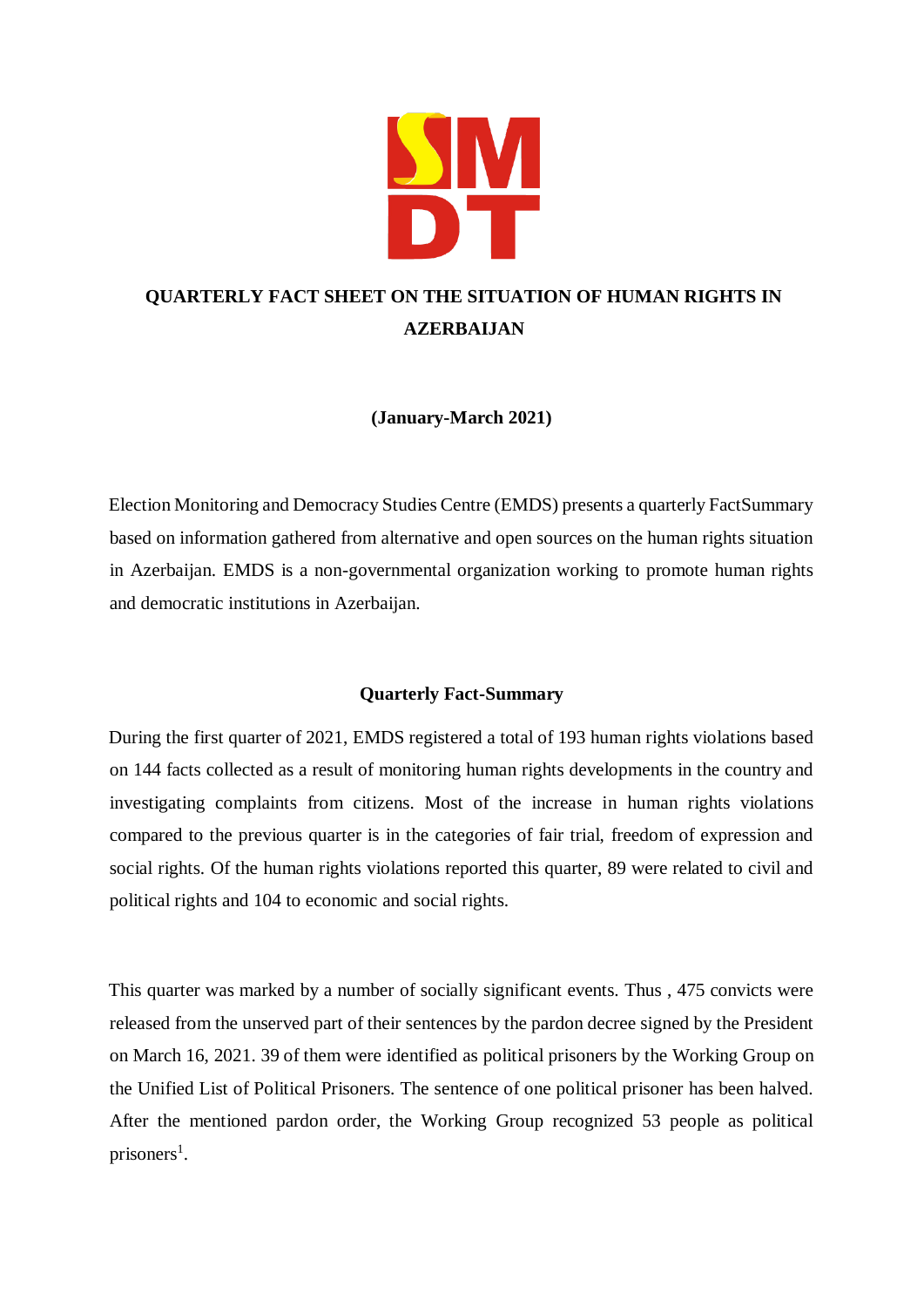

# **QUARTERLY FACT SHEET ON THE SITUATION OF HUMAN RIGHTS IN AZERBAIJAN**

## **(January-March 2021)**

Election Monitoring and Democracy Studies Centre (EMDS) presents a quarterly FactSummary based on information gathered from alternative and open sources on the human rights situation in Azerbaijan. EMDS is a non-governmental organization working to promote human rights and democratic institutions in Azerbaijan.

## **Quarterly Fact-Summary**

During the first quarter of 2021, EMDS registered a total of 193 human rights violations based on 144 facts collected as a result of monitoring human rights developments in the country and investigating complaints from citizens. Most of the increase in human rights violations compared to the previous quarter is in the categories of fair trial, freedom of expression and social rights. Of the human rights violations reported this quarter, 89 were related to civil and political rights and 104 to economic and social rights.

This quarter was marked by a number of socially significant events. Thus , 475 convicts were released from the unserved part of their sentences by the pardon decree signed by the President on March 16, 2021. 39 of them were identified as political prisoners by the Working Group on the Unified List of Political Prisoners. The sentence of one political prisoner has been halved. After the mentioned pardon order, the Working Group recognized 53 people as political prisoners<sup>1</sup>.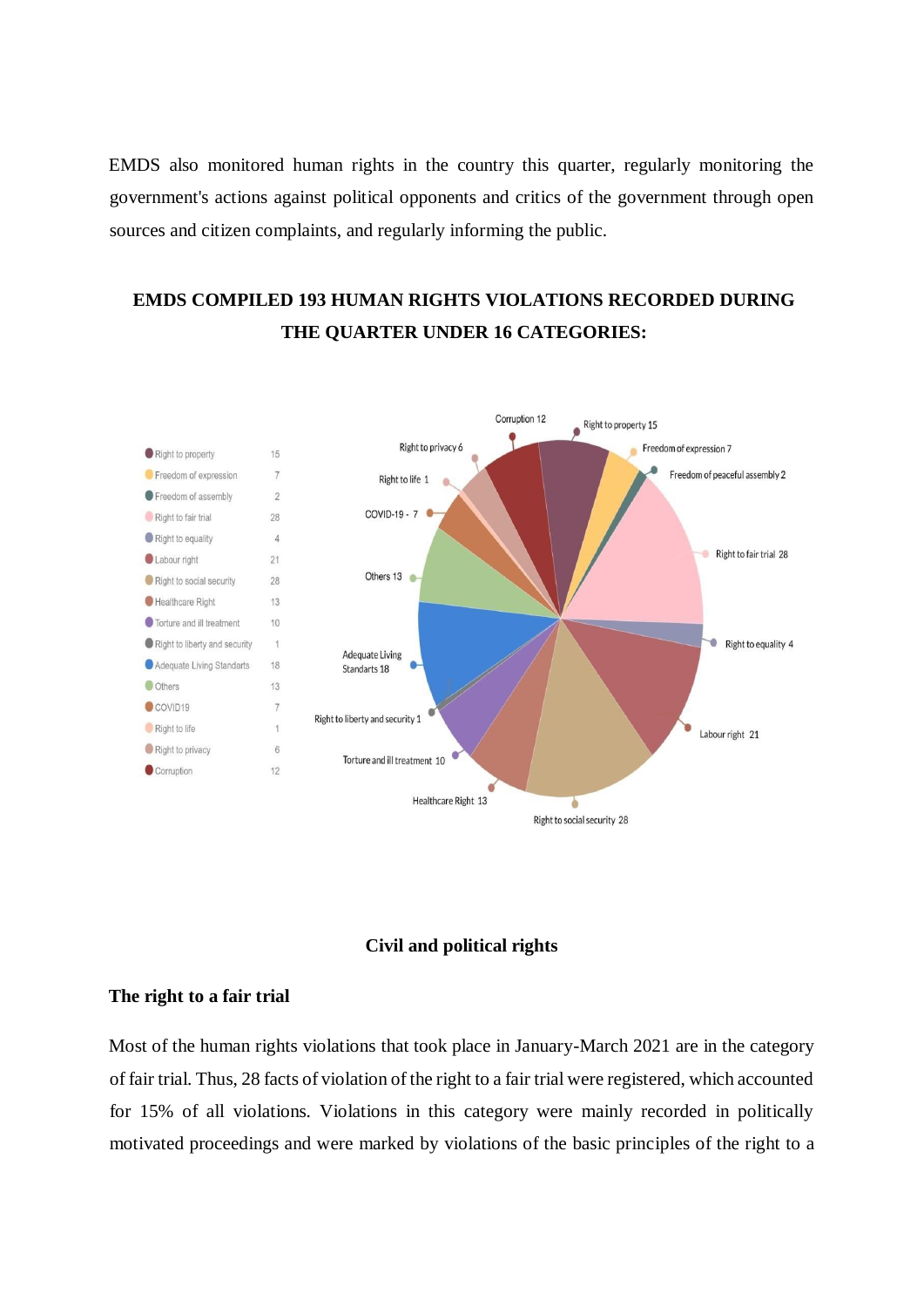EMDS also monitored human rights in the country this quarter, regularly monitoring the government's actions against political opponents and critics of the government through open sources and citizen complaints, and regularly informing the public.

## **EMDS COMPILED 193 HUMAN RIGHTS VIOLATIONS RECORDED DURING THE QUARTER UNDER 16 CATEGORIES:**



### **Civil and political rights**

### **The right to a fair trial**

Most of the human rights violations that took place in January-March 2021 are in the category of fair trial. Thus, 28 facts of violation of the right to a fair trial were registered, which accounted for 15% of all violations. Violations in this category were mainly recorded in politically motivated proceedings and were marked by violations of the basic principles of the right to a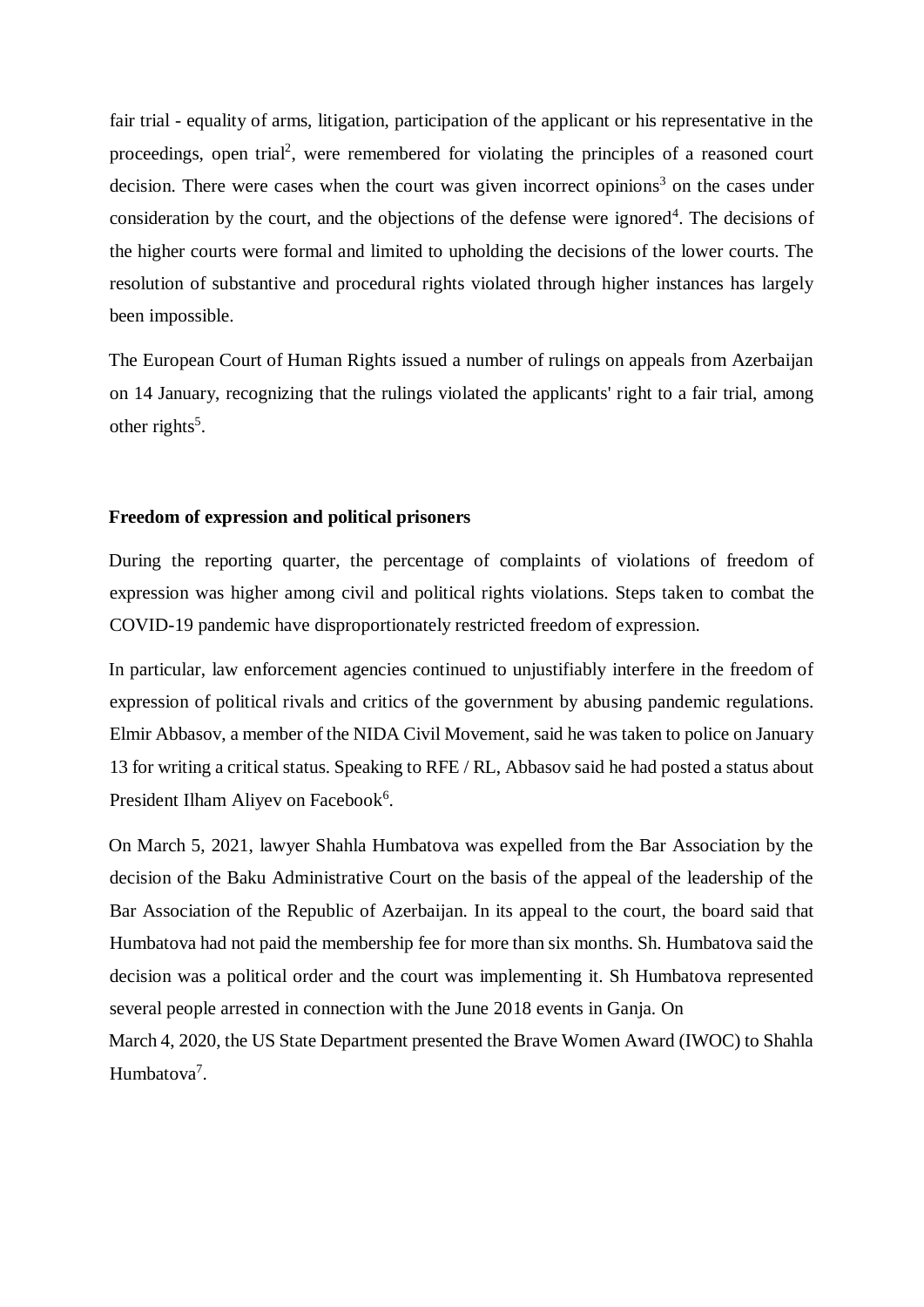fair trial - equality of arms, litigation, participation of the applicant or his representative in the proceedings, open trial<sup>2</sup>, were remembered for violating the principles of a reasoned court decision. There were cases when the court was given incorrect opinions<sup>3</sup> on the cases under consideration by the court, and the objections of the defense were ignored<sup>4</sup>. The decisions of the higher courts were formal and limited to upholding the decisions of the lower courts. The resolution of substantive and procedural rights violated through higher instances has largely been impossible.

The European Court of Human Rights issued a number of rulings on appeals from Azerbaijan on 14 January, recognizing that the rulings violated the applicants' right to a fair trial, among other rights<sup>5</sup>.

### **Freedom of expression and political prisoners**

During the reporting quarter, the percentage of complaints of violations of freedom of expression was higher among civil and political rights violations. Steps taken to combat the COVID-19 pandemic have disproportionately restricted freedom of expression.

In particular, law enforcement agencies continued to unjustifiably interfere in the freedom of expression of political rivals and critics of the government by abusing pandemic regulations. Elmir Abbasov, a member of the NIDA Civil Movement, said he was taken to police on January 13 for writing a critical status. Speaking to RFE / RL, Abbasov said he had posted a status about President Ilham Aliyev on Facebook<sup>6</sup>.

On March 5, 2021, lawyer Shahla Humbatova was expelled from the Bar Association by the decision of the Baku Administrative Court on the basis of the appeal of the leadership of the Bar Association of the Republic of Azerbaijan. In its appeal to the court, the board said that Humbatova had not paid the membership fee for more than six months. Sh. Humbatova said the decision was a political order and the court was implementing it. Sh Humbatova represented several people arrested in connection with the June 2018 events in Ganja. On

March 4, 2020, the US State Department presented the Brave Women Award (IWOC) to Shahla Humbatova<sup>7</sup>.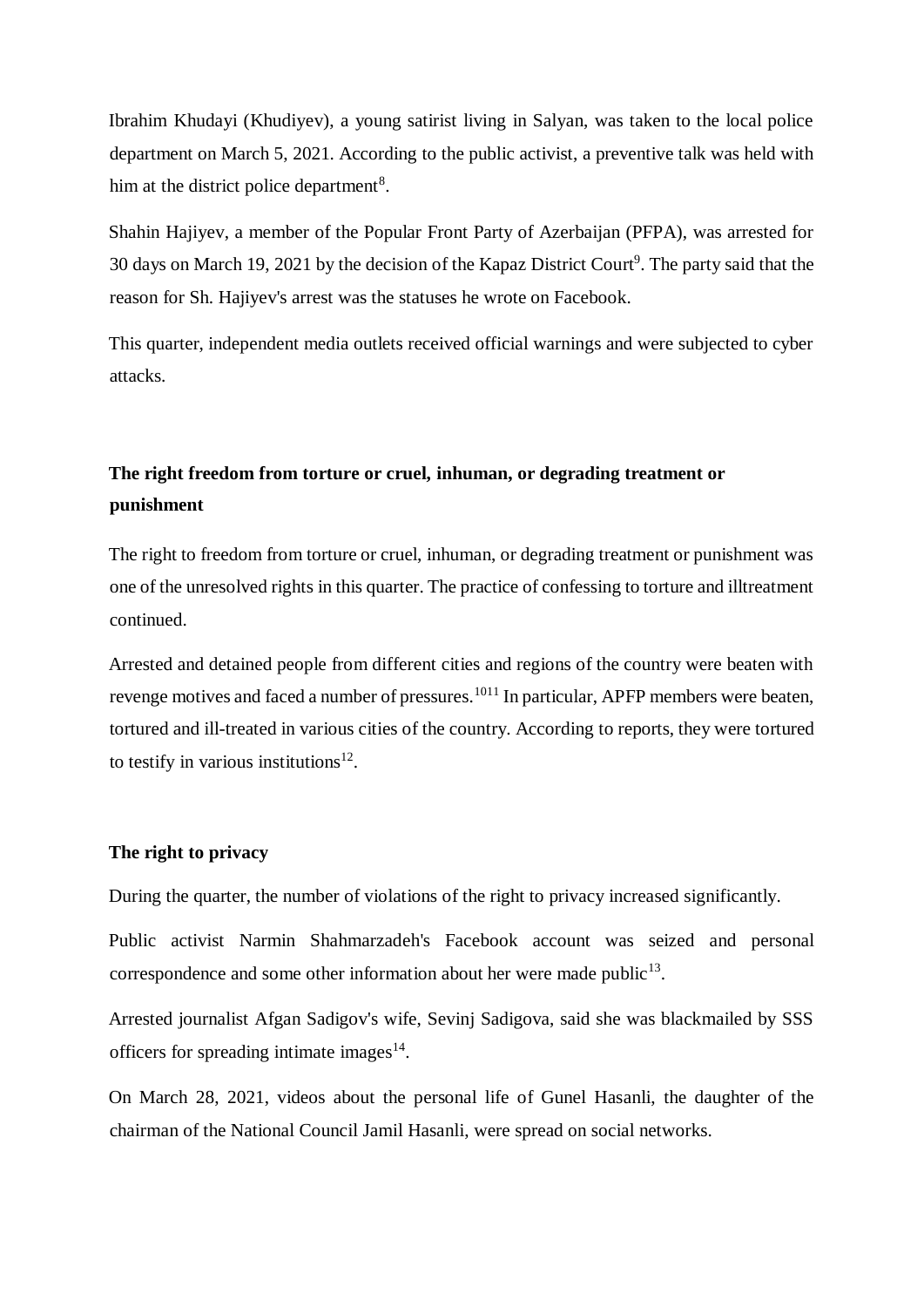Ibrahim Khudayi (Khudiyev), a young satirist living in Salyan, was taken to the local police department on March 5, 2021. According to the public activist, a preventive talk was held with him at the district police department<sup>8</sup>.

Shahin Hajiyev, a member of the Popular Front Party of Azerbaijan (PFPA), was arrested for 30 days on March 19, 2021 by the decision of the Kapaz District Court<sup>9</sup>. The party said that the reason for Sh. Hajiyev's arrest was the statuses he wrote on Facebook.

This quarter, independent media outlets received official warnings and were subjected to cyber attacks.

## **The right freedom from torture or cruel, inhuman, or degrading treatment or punishment**

The right to freedom from torture or cruel, inhuman, or degrading treatment or punishment was one of the unresolved rights in this quarter. The practice of confessing to torture and illtreatment continued.

Arrested and detained people from different cities and regions of the country were beaten with revenge motives and faced a number of pressures.<sup>1011</sup> In particular, APFP members were beaten, tortured and ill-treated in various cities of the country. According to reports, they were tortured to testify in various institutions<sup>12</sup>.

### **The right to privacy**

During the quarter, the number of violations of the right to privacy increased significantly.

Public activist Narmin Shahmarzadeh's Facebook account was seized and personal correspondence and some other information about her were made public $13$ .

Arrested journalist Afgan Sadigov's wife, Sevinj Sadigova, said she was blackmailed by SSS officers for spreading intimate images $14$ .

On March 28, 2021, videos about the personal life of Gunel Hasanli, the daughter of the chairman of the National Council Jamil Hasanli, were spread on social networks.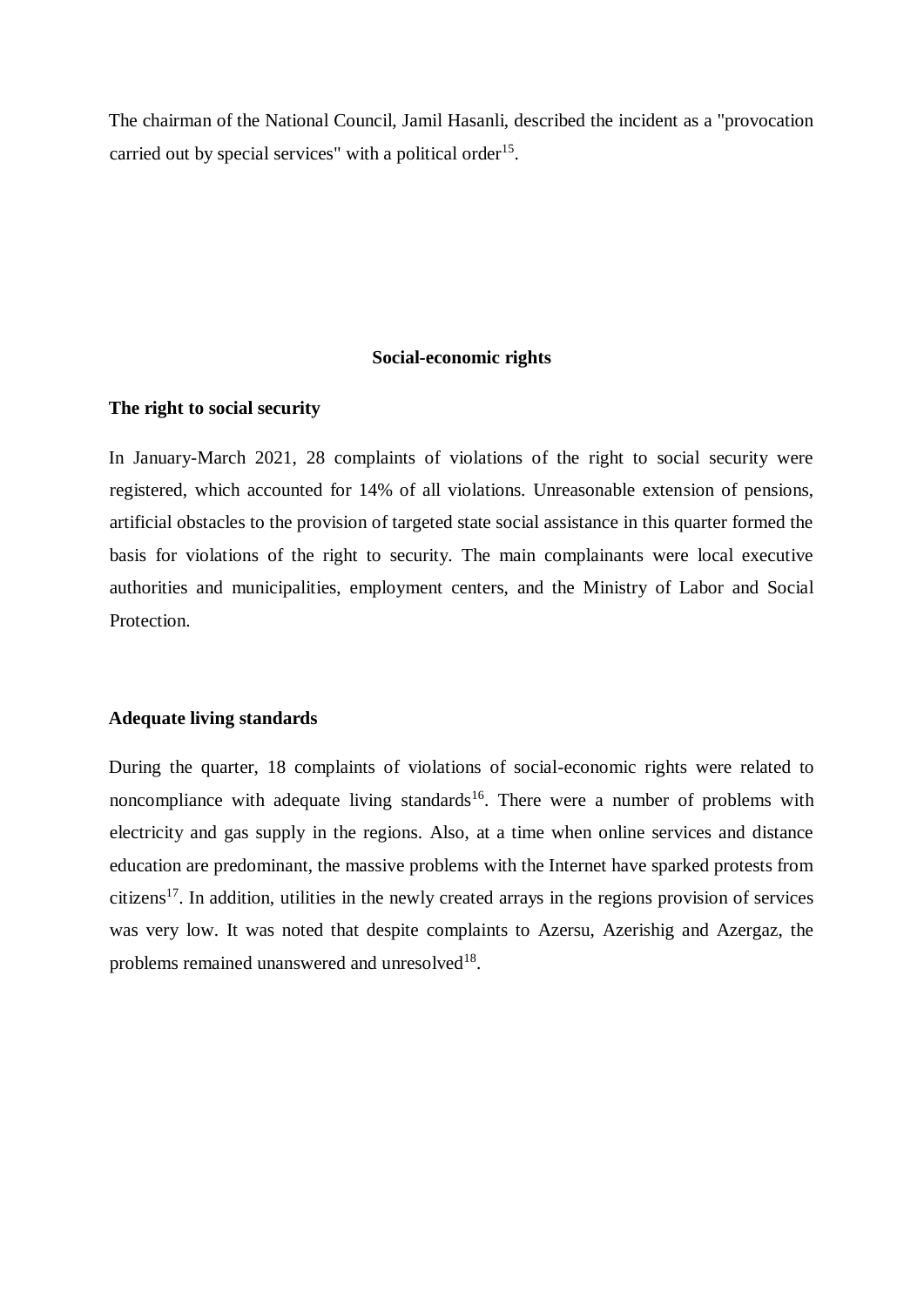The chairman of the National Council, Jamil Hasanli, described the incident as a "provocation carried out by special services" with a political order<sup>15</sup>.

#### **Social-economic rights**

### **The right to social security**

In January-March 2021, 28 complaints of violations of the right to social security were registered, which accounted for 14% of all violations. Unreasonable extension of pensions, artificial obstacles to the provision of targeted state social assistance in this quarter formed the basis for violations of the right to security. The main complainants were local executive authorities and municipalities, employment centers, and the Ministry of Labor and Social Protection.

#### **Adequate living standards**

During the quarter, 18 complaints of violations of social-economic rights were related to noncompliance with adequate living standards<sup>16</sup>. There were a number of problems with electricity and gas supply in the regions. Also, at a time when online services and distance education are predominant, the massive problems with the Internet have sparked protests from citizens<sup>17</sup>. In addition, utilities in the newly created arrays in the regions provision of services was very low. It was noted that despite complaints to Azersu, Azerishig and Azergaz, the problems remained unanswered and unresolved $18$ .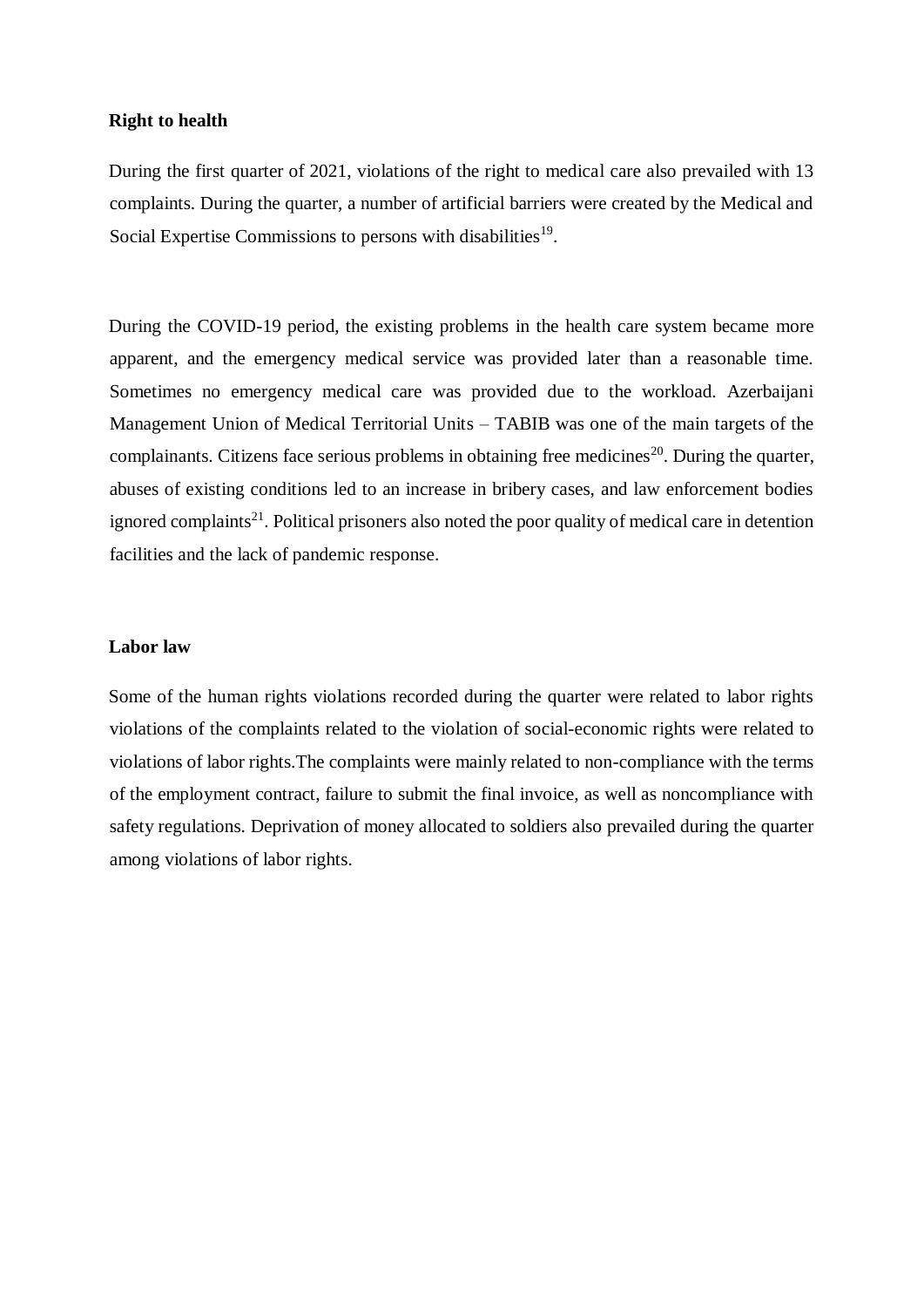### **Right to health**

During the first quarter of 2021, violations of the right to medical care also prevailed with 13 complaints. During the quarter, a number of artificial barriers were created by the Medical and Social Expertise Commissions to persons with disabilities<sup>19</sup>.

During the COVID-19 period, the existing problems in the health care system became more apparent, and the emergency medical service was provided later than a reasonable time. Sometimes no emergency medical care was provided due to the workload. Azerbaijani Management Union of Medical Territorial Units – TABIB was one of the main targets of the complainants. Citizens face serious problems in obtaining free medicines<sup>20</sup>. During the quarter, abuses of existing conditions led to an increase in bribery cases, and law enforcement bodies ignored complaints<sup>21</sup>. Political prisoners also noted the poor quality of medical care in detention facilities and the lack of pandemic response.

### **Labor law**

Some of the human rights violations recorded during the quarter were related to labor rights violations of the complaints related to the violation of social-economic rights were related to violations of labor rights.The complaints were mainly related to non-compliance with the terms of the employment contract, failure to submit the final invoice, as well as noncompliance with safety regulations. Deprivation of money allocated to soldiers also prevailed during the quarter among violations of labor rights.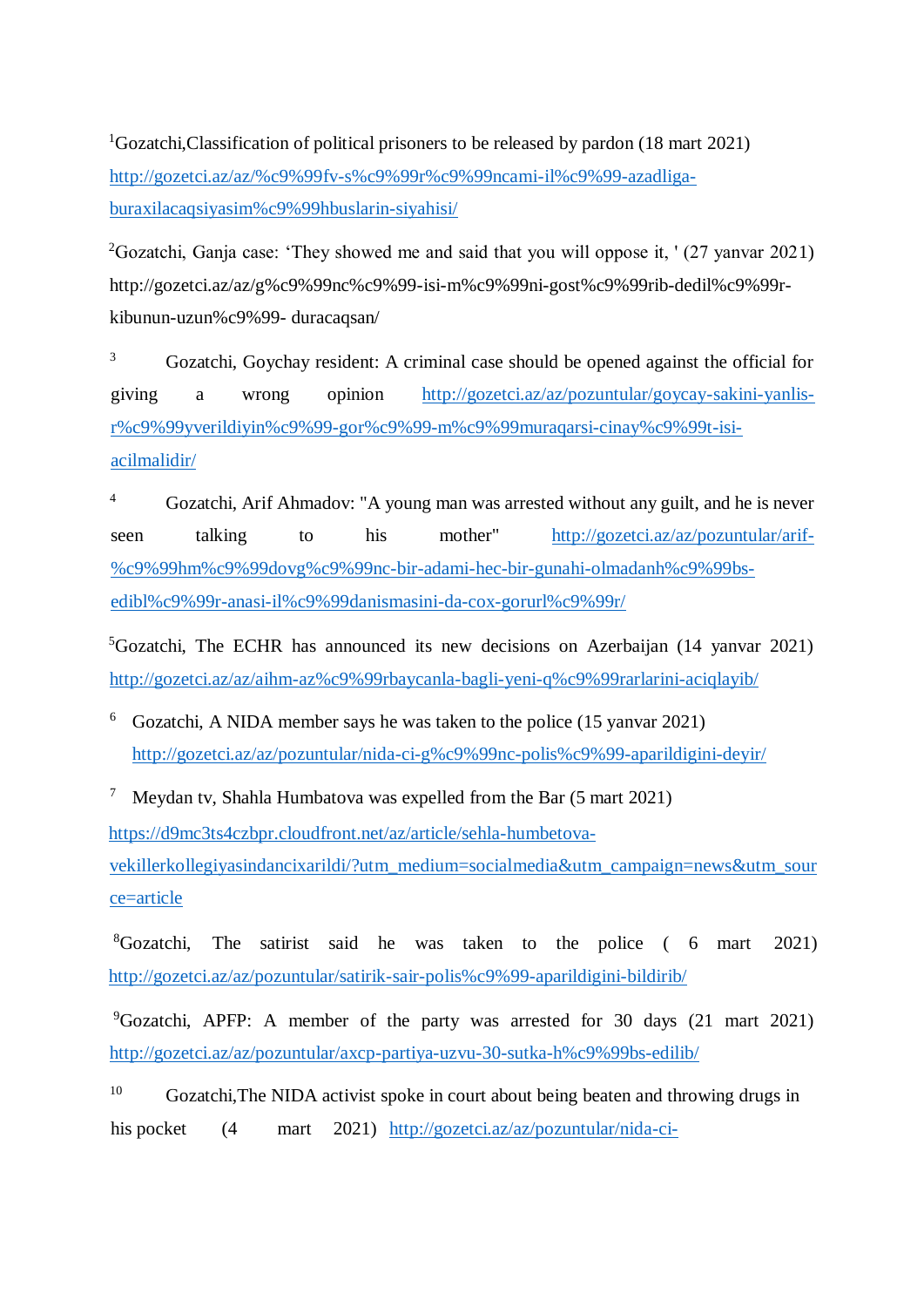<sup>1</sup>Gozatchi, Classification of political prisoners to be released by pardon (18 mart 2021) [http://gozetci.az/az/%c9%99fv-s%c9%99r%c9%99ncami-il%c9%99-azadliga](http://gozetci.az/az/%c9%99fv-s%c9%99r%c9%99ncami-il%c9%99-azadliga-buraxilacaq-siyasim%c9%99hbuslarin-siyahisi/)[buraxilacaqsiyasim%c9%99hbuslarin-siyahisi/](http://gozetci.az/az/%c9%99fv-s%c9%99r%c9%99ncami-il%c9%99-azadliga-buraxilacaq-siyasim%c9%99hbuslarin-siyahisi/)

<sup>2</sup>Gozatchi, Ganja case: 'They showed me and said that you will oppose it, '  $(27 \text{ yanvar } 2021)$ http://gozetci.az/az/g%c9%99nc%c9%99-isi-m%c9%99ni-gost%c9%99rib-dedil%c9%99rkibunun-uzun%c9%99- duracaqsan/

<sup>3</sup> Gozatchi, Goychay resident: A criminal case should be opened against the official for giving a wrong opinion [http://gozetci.az/az/pozuntular/goycay-sakini-yanlis](http://gozetci.az/az/pozuntular/goycay-sakini-yanlis-r%c9%99y-verildiyin%c9%99-gor%c9%99-m%c9%99muraqarsi-cinay%c9%99t-isi-acilmalidir/)[r%c9%99yverildiyin%c9%99-gor%c9%99-m%c9%99muraqarsi-cinay%c9%99t-isi](http://gozetci.az/az/pozuntular/goycay-sakini-yanlis-r%c9%99y-verildiyin%c9%99-gor%c9%99-m%c9%99muraqarsi-cinay%c9%99t-isi-acilmalidir/)[acilmalidir/](http://gozetci.az/az/pozuntular/goycay-sakini-yanlis-r%c9%99y-verildiyin%c9%99-gor%c9%99-m%c9%99muraqarsi-cinay%c9%99t-isi-acilmalidir/)

<sup>4</sup> Gozatchi, Arif Ahmadov: "A young man was arrested without any guilt, and he is never seen talking to his mother" [http://gozetci.az/az/pozuntular/arif-](http://gozetci.az/az/pozuntular/arif-%c9%99hm%c9%99dov-g%c9%99nc-bir-adami-hec-bir-gunahi-olmadanh%c9%99bs-edibl%c9%99r-anasi-il%c9%99-danismasini-da-cox-gorurl%c9%99r/) [%c9%99hm%c9%99dovg%c9%99nc-bir-adami-hec-bir-gunahi-olmadanh%c9%99bs](http://gozetci.az/az/pozuntular/arif-%c9%99hm%c9%99dov-g%c9%99nc-bir-adami-hec-bir-gunahi-olmadanh%c9%99bs-edibl%c9%99r-anasi-il%c9%99-danismasini-da-cox-gorurl%c9%99r/)[edibl%c9%99r-anasi-il%c9%99danismasini-da-cox-gorurl%c9%99r/](http://gozetci.az/az/pozuntular/arif-%c9%99hm%c9%99dov-g%c9%99nc-bir-adami-hec-bir-gunahi-olmadanh%c9%99bs-edibl%c9%99r-anasi-il%c9%99-danismasini-da-cox-gorurl%c9%99r/)

<sup>5</sup>Gozatchi, The ECHR has announced its new decisions on Azerbaijan (14 yanvar 2021) <http://gozetci.az/az/aihm-az%c9%99rbaycanla-bagli-yeni-q%c9%99rarlarini-aciqlayib/>

<sup>6</sup> Gozatchi, A NIDA member says he was taken to the police (15 yanvar 2021) <http://gozetci.az/az/pozuntular/nida-ci-g%c9%99nc-polis%c9%99-aparildigini-deyir/>

<sup>7</sup> Meydan tv, Shahla Humbatova was expelled from the Bar  $(5 \text{ mart } 2021)$ 

[https://d9mc3ts4czbpr.cloudfront.net/az/article/sehla-humbetova-](https://d9mc3ts4czbpr.cloudfront.net/az/article/sehla-humbetova-vekiller-kollegiyasindancixarildi/?utm_medium=social-media&utm_campaign=news&utm_source=article)

[vekillerkollegiyasindancixarildi/?utm\\_medium=socialmedia&utm\\_campaign=news&utm\\_sour](https://d9mc3ts4czbpr.cloudfront.net/az/article/sehla-humbetova-vekiller-kollegiyasindancixarildi/?utm_medium=social-media&utm_campaign=news&utm_source=article) [ce=article](https://d9mc3ts4czbpr.cloudfront.net/az/article/sehla-humbetova-vekiller-kollegiyasindancixarildi/?utm_medium=social-media&utm_campaign=news&utm_source=article)

 ${}^{8}$ Gozatchi, The satirist said he was taken to the police (6 mart 2021) <http://gozetci.az/az/pozuntular/satirik-sair-polis%c9%99-aparildigini-bildirib/>

<sup>9</sup>Gozatchi, APFP: A member of the party was arrested for 30 days (21 mart 2021) <http://gozetci.az/az/pozuntular/axcp-partiya-uzvu-30-sutka-h%c9%99bs-edilib/>

 $10$  Gozatchi, The NIDA activist spoke in court about being beaten and throwing drugs in his pocket (4 mart 2021) [http://gozetci.az/az/pozuntular/nida-ci-](http://gozetci.az/az/pozuntular/nida-ci-f%c9%99al-m%c9%99hk%c9%99m%c9%99d%c9%99-doyulm%c9%99sind%c9%99n-v%c9%99-cibin%c9%99-narkotik-atilmasindan-danisdi/)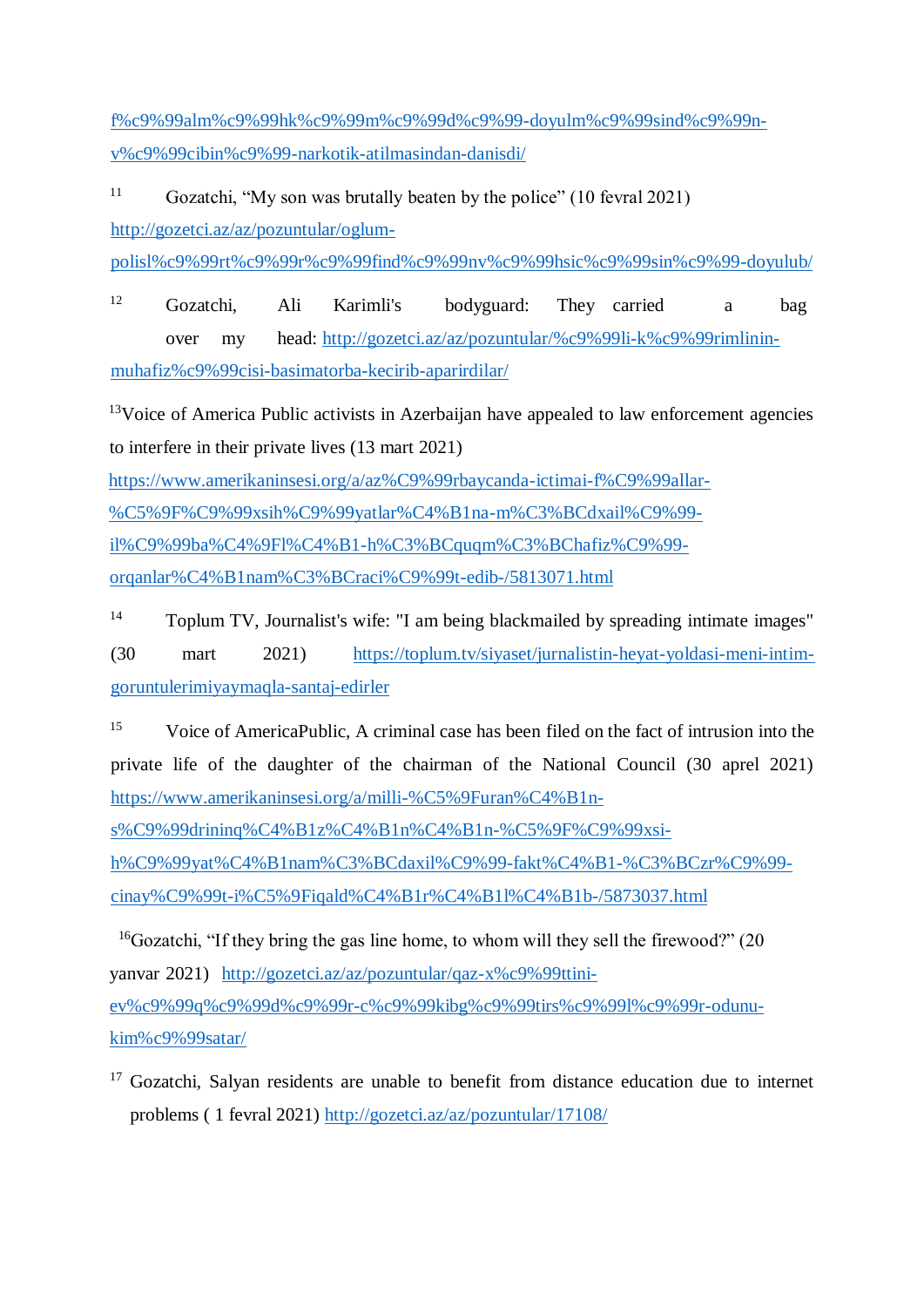[f%c9%99alm%c9%99hk%c9%99m%c9%99d%c9%99-doyulm%c9%99sind%c9%99n](http://gozetci.az/az/pozuntular/nida-ci-f%c9%99al-m%c9%99hk%c9%99m%c9%99d%c9%99-doyulm%c9%99sind%c9%99n-v%c9%99-cibin%c9%99-narkotik-atilmasindan-danisdi/)[v%c9%99cibin%c9%99-narkotik-atilmasindan-danisdi/](http://gozetci.az/az/pozuntular/nida-ci-f%c9%99al-m%c9%99hk%c9%99m%c9%99d%c9%99-doyulm%c9%99sind%c9%99n-v%c9%99-cibin%c9%99-narkotik-atilmasindan-danisdi/) 

<sup>11</sup> Gozatchi, "My son was brutally beaten by the police" (10 fevral 2021) [http://gozetci.az/az/pozuntular/oglum-](http://gozetci.az/az/pozuntular/oglum-polisl%c9%99r-t%c9%99r%c9%99find%c9%99nv%c9%99hsic%c9%99sin%c9%99-doyulub/)

[polisl%c9%99rt%c9%99r%c9%99find%c9%99nv%c9%99hsic%c9%99sin%c9%99-doyulub/](http://gozetci.az/az/pozuntular/oglum-polisl%c9%99r-t%c9%99r%c9%99find%c9%99nv%c9%99hsic%c9%99sin%c9%99-doyulub/)

<sup>12</sup> Gozatchi, Ali Karimli's bodyguard: They carried a bag over my head: [http://gozetci.az/az/pozuntular/%c9%99li-k%c9%99rimlinin](http://gozetci.az/az/pozuntular/%c9%99li-k%c9%99rimlinin-muhafiz%c9%99cisi-basima-torba-kecirib-aparirdilar/)[muhafiz%c9%99cisi-basimatorba-kecirib-aparirdilar/](http://gozetci.az/az/pozuntular/%c9%99li-k%c9%99rimlinin-muhafiz%c9%99cisi-basima-torba-kecirib-aparirdilar/)

<sup>13</sup>Voice of America Public activists in Azerbaijan have appealed to law enforcement agencies to interfere in their private lives (13 mart 2021)

[https://www.amerikaninsesi.org/a/az%C9%99rbaycanda-ictimai-f%C9%99allar-](https://www.amerikaninsesi.org/a/az%C9%99rbaycanda-ictimai-f%C9%99allar-%C5%9F%C9%99xsih%C9%99yatlar%C4%B1na-m%C3%BCdxail%C9%99-il%C9%99-ba%C4%9Fl%C4%B1-h%C3%BCquqm%C3%BChafiz%C9%99-orqanlar%C4%B1na-m%C3%BCraci%C9%99t-edib-/5813071.html) [%C5%9F%C9%99xsih%C9%99yatlar%C4%B1na-m%C3%BCdxail%C9%99](https://www.amerikaninsesi.org/a/az%C9%99rbaycanda-ictimai-f%C9%99allar-%C5%9F%C9%99xsih%C9%99yatlar%C4%B1na-m%C3%BCdxail%C9%99-il%C9%99-ba%C4%9Fl%C4%B1-h%C3%BCquqm%C3%BChafiz%C9%99-orqanlar%C4%B1na-m%C3%BCraci%C9%99t-edib-/5813071.html) [il%C9%99ba%C4%9Fl%C4%B1-h%C3%BCquqm%C3%BChafiz%C9%99](https://www.amerikaninsesi.org/a/az%C9%99rbaycanda-ictimai-f%C9%99allar-%C5%9F%C9%99xsih%C9%99yatlar%C4%B1na-m%C3%BCdxail%C9%99-il%C9%99-ba%C4%9Fl%C4%B1-h%C3%BCquqm%C3%BChafiz%C9%99-orqanlar%C4%B1na-m%C3%BCraci%C9%99t-edib-/5813071.html) [orqanlar%C4%B1nam%C3%BCraci%C9%99t-edib-/5813071.html](https://www.amerikaninsesi.org/a/az%C9%99rbaycanda-ictimai-f%C9%99allar-%C5%9F%C9%99xsih%C9%99yatlar%C4%B1na-m%C3%BCdxail%C9%99-il%C9%99-ba%C4%9Fl%C4%B1-h%C3%BCquqm%C3%BChafiz%C9%99-orqanlar%C4%B1na-m%C3%BCraci%C9%99t-edib-/5813071.html)

<sup>14</sup> Toplum TV, Journalist's wife: "I am being blackmailed by spreading intimate images" (30 mart 2021) [https://toplum.tv/siyaset/jurnalistin-heyat-yoldasi-meni-intim](https://toplum.tv/siyaset/jurnalistin-heyat-yoldasi-meni-intim-goruntulerimi-yaymaqla-santaj-edirler)[goruntulerimiyaymaqla-santaj-edirler](https://toplum.tv/siyaset/jurnalistin-heyat-yoldasi-meni-intim-goruntulerimi-yaymaqla-santaj-edirler)

<sup>15</sup> Voice of AmericaPublic, A criminal case has been filed on the fact of intrusion into the private life of the daughter of the chairman of the National Council (30 aprel 2021) [https://www.amerikaninsesi.org/a/milli-%C5%9Furan%C4%B1n-](https://www.amerikaninsesi.org/a/milli-%C5%9Furan%C4%B1n-s%C9%99drinin-q%C4%B1z%C4%B1n%C4%B1n-%C5%9F%C9%99xsi-h%C9%99yat%C4%B1na-m%C3%BCdaxil%C9%99-fakt%C4%B1-%C3%BCzr%C9%99-cinay%C9%99t-i%C5%9Fi-qald%C4%B1r%C4%B1l%C4%B1b-/5873037.html)

[s%C9%99drininq%C4%B1z%C4%B1n%C4%B1n-%C5%9F%C9%99xsi-](https://www.amerikaninsesi.org/a/milli-%C5%9Furan%C4%B1n-s%C9%99drinin-q%C4%B1z%C4%B1n%C4%B1n-%C5%9F%C9%99xsi-h%C9%99yat%C4%B1na-m%C3%BCdaxil%C9%99-fakt%C4%B1-%C3%BCzr%C9%99-cinay%C9%99t-i%C5%9Fi-qald%C4%B1r%C4%B1l%C4%B1b-/5873037.html)

[h%C9%99yat%C4%B1nam%C3%BCdaxil%C9%99-fakt%C4%B1-%C3%BCzr%C9%99](https://www.amerikaninsesi.org/a/milli-%C5%9Furan%C4%B1n-s%C9%99drinin-q%C4%B1z%C4%B1n%C4%B1n-%C5%9F%C9%99xsi-h%C9%99yat%C4%B1na-m%C3%BCdaxil%C9%99-fakt%C4%B1-%C3%BCzr%C9%99-cinay%C9%99t-i%C5%9Fi-qald%C4%B1r%C4%B1l%C4%B1b-/5873037.html) [cinay%C9%99t-i%C5%9Fiqald%C4%B1r%C4%B1l%C4%B1b-/5873037.html](https://www.amerikaninsesi.org/a/milli-%C5%9Furan%C4%B1n-s%C9%99drinin-q%C4%B1z%C4%B1n%C4%B1n-%C5%9F%C9%99xsi-h%C9%99yat%C4%B1na-m%C3%BCdaxil%C9%99-fakt%C4%B1-%C3%BCzr%C9%99-cinay%C9%99t-i%C5%9Fi-qald%C4%B1r%C4%B1l%C4%B1b-/5873037.html)

<sup>16</sup>Gozatchi, "If they bring the gas line home, to whom will they sell the firewood?" (20 yanvar 2021) [http://gozetci.az/az/pozuntular/qaz-x%c9%99ttini](http://gozetci.az/az/pozuntular/qaz-x%c9%99ttini-ev%c9%99-q%c9%99d%c9%99r-c%c9%99kibg%c9%99tirs%c9%99l%c9%99r-odunu-kim%c9%99-satar/)[ev%c9%99q%c9%99d%c9%99r-c%c9%99kibg%c9%99tirs%c9%99l%c9%99r-odunu](http://gozetci.az/az/pozuntular/qaz-x%c9%99ttini-ev%c9%99-q%c9%99d%c9%99r-c%c9%99kibg%c9%99tirs%c9%99l%c9%99r-odunu-kim%c9%99-satar/)[kim%c9%99satar/](http://gozetci.az/az/pozuntular/qaz-x%c9%99ttini-ev%c9%99-q%c9%99d%c9%99r-c%c9%99kibg%c9%99tirs%c9%99l%c9%99r-odunu-kim%c9%99-satar/) 

<sup>&</sup>lt;sup>17</sup> Gozatchi, Salyan residents are unable to benefit from distance education due to internet problems ( 1 fevral 2021)<http://gozetci.az/az/pozuntular/17108/>